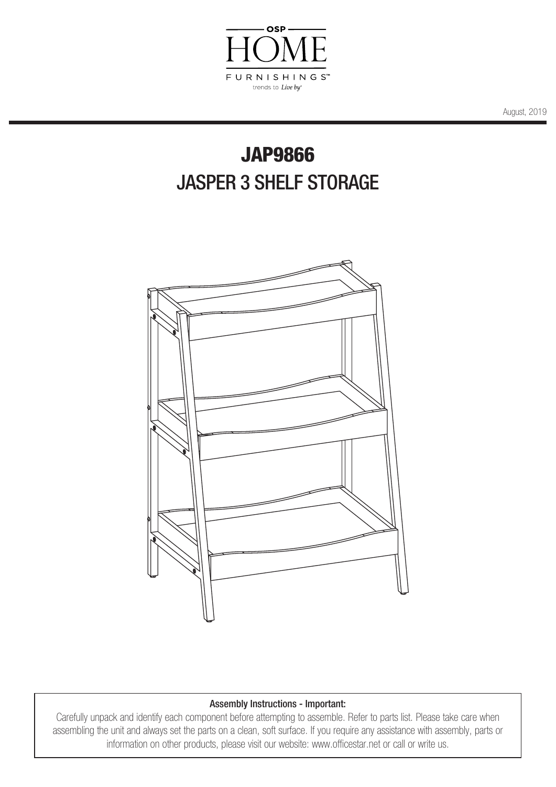

August, 2019

## JAP9866 JASPER 3 SHELF STORAGE



## Assembly Instructions - Important:

Carefully unpack and identify each component before attempting to assemble. Refer to parts list. Please take care when assembling the unit and always set the parts on a clean, soft surface. If you require any assistance with assembly, parts or information on other products, please visit our website: www.officestar.net or call or write us.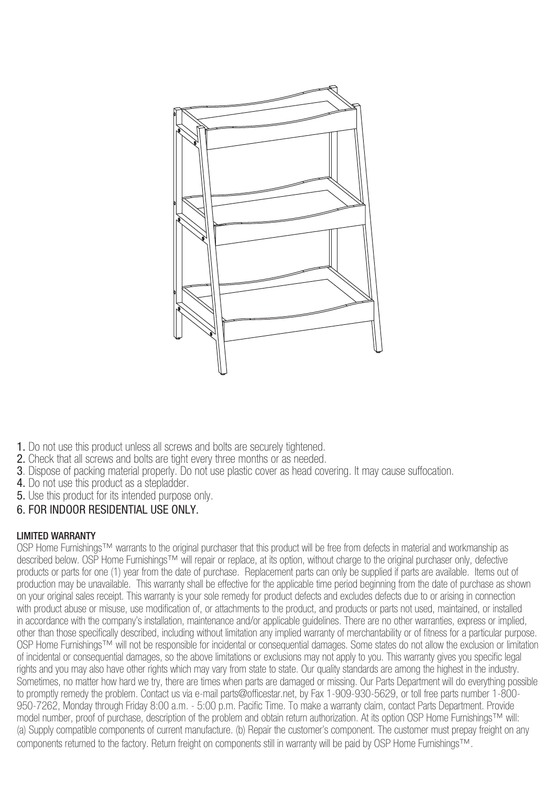

- 1. Do not use this product unless all screws and bolts are securely tightened.
- 2. Check that all screws and bolts are tight every three months or as needed.
- 3. Dispose of packing material properly. Do not use plastic cover as head covering. It may cause suffocation.
- 4. Do not use this product as a stepladder.
- 5. Use this product for its intended purpose only.

## 6. FOR INDOOR RESIDENTIAL USE ONLY.

## LIMITED WARRANTY

OSP Home Furnishings™ warrants to the original purchaser that this product will be free from defects in material and workmanship as described below. OSP Home Furnishings™ will repair or replace, at its option, without charge to the original purchaser only, defective products or parts for one (1) year from the date of purchase. Replacement parts can only be supplied if parts are available. Items out of production may be unavailable. This warranty shall be effective for the applicable time period beginning from the date of purchase as shown on your original sales receipt. This warranty is your sole remedy for product defects and excludes defects due to or arising in connection with product abuse or misuse, use modification of, or attachments to the product, and products or parts not used, maintained, or installed in accordance with the company's installation, maintenance and/or applicable guidelines. There are no other warranties, express or implied, other than those specifically described, including without limitation any implied warranty of merchantability or of fitness for a particular purpose. OSP Home Furnishings™ will not be responsible for incidental or consequential damages. Some states do not allow the exclusion or limitation of incidental or consequential damages, so the above limitations or exclusions may not apply to you. This warranty gives you specific legal rights and you may also have other rights which may vary from state to state. Our quality standards are among the highest in the industry. Sometimes, no matter how hard we try, there are times when parts are damaged or missing. Our Parts Department will do everything possible to promptly remedy the problem. Contact us via e-mail parts@officestar.net, by Fax 1-909-930-5629, or toll free parts number 1-800- 950-7262, Monday through Friday 8:00 a.m. - 5:00 p.m. Pacific Time. To make a warranty claim, contact Parts Department. Provide model number, proof of purchase, description of the problem and obtain return authorization. At its option OSP Home Furnishings™ will: (a) Supply compatible components of current manufacture. (b) Repair the customer's component. The customer must prepay freight on any components returned to the factory. Return freight on components still in warranty will be paid by OSP Home Furnishings™.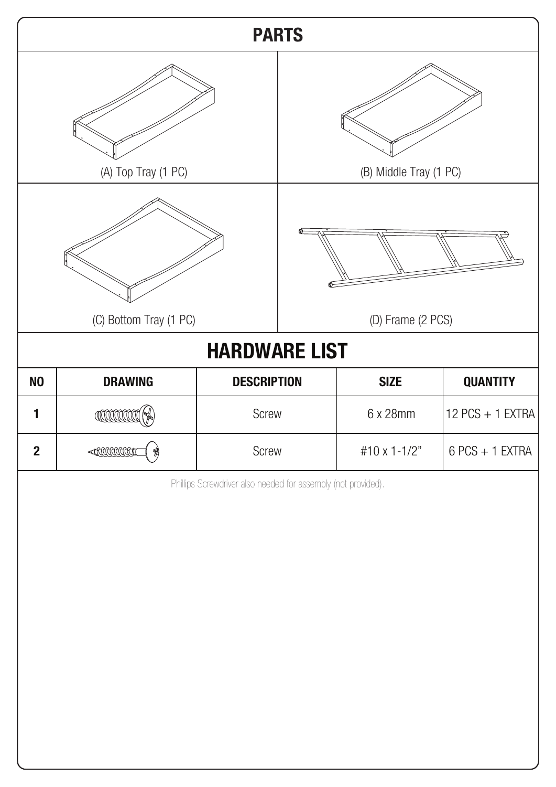| <b>PARTS</b>                                                        |                                      |                                                               |                        |              |                                       |
|---------------------------------------------------------------------|--------------------------------------|---------------------------------------------------------------|------------------------|--------------|---------------------------------------|
| (A) Top Tray (1 PC)                                                 |                                      |                                                               | (B) Middle Tray (1 PC) |              |                                       |
|                                                                     |                                      |                                                               |                        |              |                                       |
| (C) Bottom Tray (1 PC)<br>(D) Frame (2 PCS)<br><b>HARDWARE LIST</b> |                                      |                                                               |                        |              |                                       |
| N <sub>0</sub>                                                      | <b>DRAWING</b><br><b>DESCRIPTION</b> |                                                               | <b>SIZE</b>            |              |                                       |
| 1                                                                   |                                      | Screw                                                         |                        | 6 x 28mm     | <b>QUANTITY</b><br>$12$ PCS + 1 EXTRA |
|                                                                     |                                      |                                                               |                        |              |                                       |
| $\boldsymbol{2}$                                                    |                                      | Screw                                                         |                        | #10 x 1-1/2" | $6$ PCS + 1 EXTRA                     |
|                                                                     |                                      | Phillips Screwdriver also needed for assembly (not provided). |                        |              |                                       |